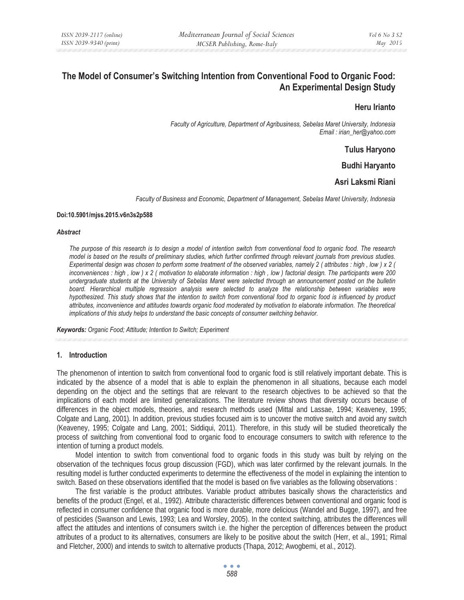# **The Model of Consumer's Switching Intention from Conventional Food to Organic Food: An Experimental Design Study**

## **Heru Irianto**

*Faculty of Agriculture, Department of Agribusiness, Sebelas Maret University, Indonesia Email : irian\_her@yahoo.com* 

**Tulus Haryono** 

**Budhi Haryanto** 

## **Asri Laksmi Riani**

*Faculty of Business and Economic, Department of Management, Sebelas Maret University, Indonesia* 

#### **Doi:10.5901/mjss.2015.v6n3s2p588**

#### *Abstract*

*The purpose of this research is to design a model of intention switch from conventional food to organic food. The research model is based on the results of preliminary studies, which further confirmed through relevant journals from previous studies. Experimental design was chosen to perform some treatment of the observed variables, namely 2 ( attributes : high , low ) x 2 ( inconveniences : high , low ) x 2 ( motivation to elaborate information : high , low ) factorial design. The participants were 200 undergraduate students at the University of Sebelas Maret were selected through an announcement posted on the bulletin board. Hierarchical multiple regression analysis were selected to analyze the relationship between variables were hypothesized. This study shows that the intention to switch from conventional food to organic food is influenced by product attributes, inconvenience and attitudes towards organic food moderated by motivation to elaborate information. The theoretical implications of this study helps to understand the basic concepts of consumer switching behavior.* 

*Keywords: Organic Food; Attitude; Intention to Switch; Experiment*

## **1. Introduction**

The phenomenon of intention to switch from conventional food to organic food is still relatively important debate. This is indicated by the absence of a model that is able to explain the phenomenon in all situations, because each model depending on the object and the settings that are relevant to the research objectives to be achieved so that the implications of each model are limited generalizations. The literature review shows that diversity occurs because of differences in the object models, theories, and research methods used (Mittal and Lassae, 1994; Keaveney, 1995; Colgate and Lang, 2001). In addition, previous studies focused aim is to uncover the motive switch and avoid any switch (Keaveney, 1995; Colgate and Lang, 2001; Siddiqui, 2011). Therefore, in this study will be studied theoretically the process of switching from conventional food to organic food to encourage consumers to switch with reference to the intention of turning a product models.

Model intention to switch from conventional food to organic foods in this study was built by relying on the observation of the techniques focus group discussion (FGD), which was later confirmed by the relevant journals. In the resulting model is further conducted experiments to determine the effectiveness of the model in explaining the intention to switch. Based on these observations identified that the model is based on five variables as the following observations :

The first variable is the product attributes. Variable product attributes basically shows the characteristics and benefits of the product (Engel, et al., 1992). Attribute characteristic differences between conventional and organic food is reflected in consumer confidence that organic food is more durable, more delicious (Wandel and Bugge, 1997), and free of pesticides (Swanson and Lewis, 1993; Lea and Worsley, 2005). In the context switching, attributes the differences will affect the attitudes and intentions of consumers switch i.e. the higher the perception of differences between the product attributes of a product to its alternatives, consumers are likely to be positive about the switch (Herr, et al., 1991; Rimal and Fletcher, 2000) and intends to switch to alternative products (Thapa, 2012; Awogbemi, et al., 2012).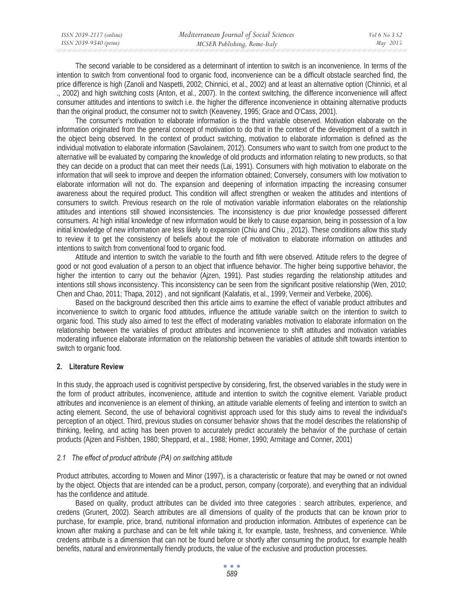| ISSN 2039-2117 (online) | Mediterranean Journal of Social Sciences | Vol 6 No 3 S2 |
|-------------------------|------------------------------------------|---------------|
| ISSN 2039-9340 (print)  | MCSER Publishing, Rome-Italy             | May 2015      |

The second variable to be considered as a determinant of intention to switch is an inconvenience. In terms of the intention to switch from conventional food to organic food, inconvenience can be a difficult obstacle searched find, the price difference is high (Zanoli and Naspetti, 2002; Chinnici, et al., 2002) and at least an alternative option (Chinnici, et al ., 2002) and high switching costs (Anton, et al., 2007). In the context switching, the difference inconvenience will affect consumer attitudes and intentions to switch i.e. the higher the difference inconvenience in obtaining alternative products than the original product, the consumer not to switch (Keaveney, 1995; Grace and O'Cass, 2001).

The consumer's motivation to elaborate information is the third variable observed. Motivation elaborate on the information originated from the general concept of motivation to do that in the context of the development of a switch in the object being observed. In the context of product switching, motivation to elaborate information is defined as the individual motivation to elaborate information (Savolainem, 2012). Consumers who want to switch from one product to the alternative will be evaluated by comparing the knowledge of old products and information relating to new products, so that they can decide on a product that can meet their needs (Lai, 1991). Consumers with high motivation to elaborate on the information that will seek to improve and deepen the information obtained; Conversely, consumers with low motivation to elaborate information will not do. The expansion and deepening of information impacting the increasing consumer awareness about the required product. This condition will affect strengthen or weaken the attitudes and intentions of consumers to switch. Previous research on the role of motivation variable information elaborates on the relationship attitudes and intentions still showed inconsistencies. The inconsistency is due prior knowledge possessed different consumers. At high initial knowledge of new information would be likely to cause expansion, being in possession of a low initial knowledge of new information are less likely to expansion (Chiu and Chiu , 2012). These conditions allow this study to review it to get the consistency of beliefs about the role of motivation to elaborate information on attitudes and intentions to switch from conventional food to organic food.

Attitude and intention to switch the variable to the fourth and fifth were observed. Attitude refers to the degree of good or not good evaluation of a person to an object that influence behavior. The higher being supportive behavior, the higher the intention to carry out the behavior (Ajzen, 1991). Past studies regarding the relationship attitudes and intentions still shows inconsistency. This inconsistency can be seen from the significant positive relationship (Wen, 2010; Chen and Chao, 2011; Thapa, 2012) , and not significant (Kalafatis, et al., 1999; Vermeir and Verbeke, 2006).

Based on the background described then this article aims to examine the effect of variable product attributes and inconvenience to switch to organic food attitudes, influence the attitude variable switch on the intention to switch to organic food. This study also aimed to test the effect of moderating variables motivation to elaborate information on the relationship between the variables of product attributes and inconvenience to shift attitudes and motivation variables moderating influence elaborate information on the relationship between the variables of attitude shift towards intention to switch to organic food.

## **2. Literature Review**

In this study, the approach used is cognitivist perspective by considering, first, the observed variables in the study were in the form of product attributes, inconvenience, attitude and intention to switch the cognitive element. Variable product attributes and inconvenience is an element of thinking, an attitude variable elements of feeling and intention to switch an acting element. Second, the use of behavioral cognitivist approach used for this study aims to reveal the individual's perception of an object. Third, previous studies on consumer behavior shows that the model describes the relationship of thinking, feeling, and acting has been proven to accurately predict accurately the behavior of the purchase of certain products (Ajzen and Fishben, 1980; Sheppard, et al., 1988; Homer, 1990; Armitage and Conner, 2001)

## *2.1 The effect of product attribute (PA) on switching attitude*

Product attributes, according to Mowen and Minor (1997), is a characteristic or feature that may be owned or not owned by the object. Objects that are intended can be a product, person, company (corporate), and everything that an individual has the confidence and attitude.

Based on quality, product attributes can be divided into three categories : search attributes, experience, and credens (Grunert, 2002). Search attributes are all dimensions of quality of the products that can be known prior to purchase, for example, price, brand, nutritional information and production information. Attributes of experience can be known after making a purchase and can be felt while taking it, for example, taste, freshness, and convenience. While credens attribute is a dimension that can not be found before or shortly after consuming the product, for example health benefits, natural and environmentally friendly products, the value of the exclusive and production processes.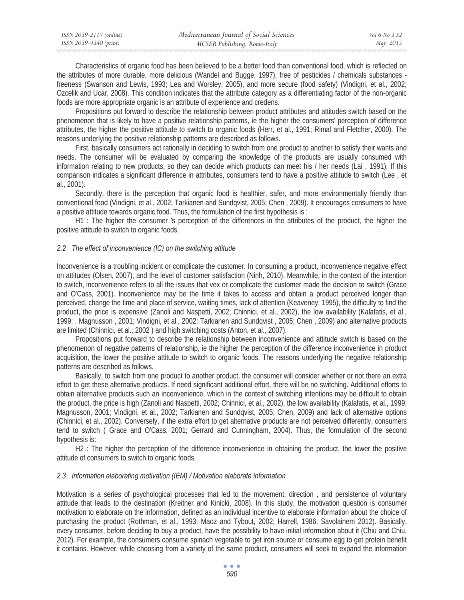| ISSN 2039-2117 (online) | Mediterranean Journal of Social Sciences | Vol 6 No 3 S2 |
|-------------------------|------------------------------------------|---------------|
| ISSN 2039-9340 (print)  | MCSER Publishing, Rome-Italy             | May 2015      |

Characteristics of organic food has been believed to be a better food than conventional food, which is reflected on the attributes of more durable, more delicious (Wandel and Bugge, 1997), free of pesticides / chemicals substances freeness (Swanson and Lewis, 1993; Lea and Worsley, 2005), and more secure (food safety) (Vindigni, et al., 2002; Ozcelik and Ucar, 2008). This condition indicates that the attribute category as a differentiating factor of the non-organic foods are more appropriate organic is an attribute of experience and credens.

Propositions put forward to describe the relationship between product attributes and attitudes switch based on the phenomenon that is likely to have a positive relationship patterns, ie the higher the consumers' perception of difference attributes, the higher the positive attitude to switch to organic foods (Herr, et al., 1991; Rimal and Fletcher, 2000). The reasons underlying the positive relationship patterns are described as follows.

First, basically consumers act rationally in deciding to switch from one product to another to satisfy their wants and needs. The consumer will be evaluated by comparing the knowledge of the products are usually consumed with information relating to new products, so they can decide which products can meet his / her needs (Lai , 1991). If this comparison indicates a significant difference in attributes, consumers tend to have a positive attitude to switch (Lee , et al., 2001).

Secondly, there is the perception that organic food is healthier, safer, and more environmentally friendly than conventional food (Vindigni, et al., 2002; Tarkianen and Sundqvist, 2005; Chen , 2009). It encourages consumers to have a positive attitude towards organic food. Thus, the formulation of the first hypothesis is :

H1 : The higher the consumer 's perception of the differences in the attributes of the product, the higher the positive attitude to switch to organic foods.

## *2.2 The effect of inconvenience (IC) on the switching attitude*

Inconvenience is a troubling incident or complicate the customer. In consuming a product, inconvenience negative effect on attitudes (Olsen, 2007), and the level of customer satisfaction (Ninh, 2010). Meanwhile, in the context of the intention to switch, inconvenience refers to all the issues that vex or complicate the customer made the decision to switch (Grace and O'Cass, 2001). Inconvenience may be the time it takes to access and obtain a product perceived longer than perceived, change the time and place of service, waiting times, lack of attention (Keaveney, 1995), the difficulty to find the product, the price is expensive (Zanoli and Naspetti, 2002; Chinnici, et al., 2002), the low availability (Kalafatis, et al., 1999; . Magnusson , 2001; Vindigni, et al., 2002; Tarkianen and Sundqvist , 2005; Chen , 2009) and alternative products are limited (Chinnici, et al., 2002 ) and high switching costs (Anton, et al., 2007).

Propositions put forward to describe the relationship between inconvenience and attitude switch is based on the phenomenon of negative patterns of relationship, ie the higher the perception of the difference inconvenience in product acquisition, the lower the positive attitude to switch to organic foods. The reasons underlying the negative relationship patterns are described as follows.

Basically, to switch from one product to another product, the consumer will consider whether or not there an extra effort to get these alternative products. If need significant additional effort, there will be no switching. Additional efforts to obtain alternative products such an inconvenience, which in the context of switching intentions may be difficult to obtain the product, the price is high (Zanoli and Naspetti, 2002; Chinnici, et al., 2002), the low availability (Kalafatis, et al., 1999; Magnusson, 2001; Vindigni, et al., 2002; Tarkianen and Sundqvist, 2005; Chen, 2009) and lack of alternative options (Chinnici, et al., 2002). Conversely, if the extra effort to get alternative products are not perceived differently, consumers tend to switch ( Grace and O'Cass, 2001; Gerrard and Cunningham, 2004). Thus, the formulation of the second hypothesis is:

H2 : The higher the perception of the difference inconvenience in obtaining the product, the lower the positive attitude of consumers to switch to organic foods.

## *2.3 Information elaborating motivation (IEM) / Motivation elaborate information*

Motivation is a series of psychological processes that led to the movement, direction , and persistence of voluntary attitude that leads to the destination (Kreitner and Kinicki, 2008). In this study, the motivation question is consumer motivation to elaborate on the information, defined as an individual incentive to elaborate information about the choice of purchasing the product (Rothman, et al., 1993; Maoz and Tybout, 2002; Harrell, 1986; Savolainem 2012). Basically, every consumer, before deciding to buy a product, have the possibility to have initial information about it (Chiu and Chiu, 2012). For example, the consumers consume spinach vegetable to get iron source or consume egg to get protein benefit it contains. However, while choosing from a variety of the same product, consumers will seek to expand the information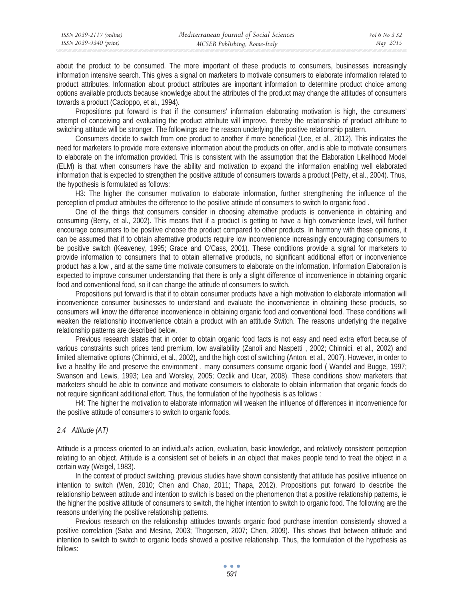about the product to be consumed. The more important of these products to consumers, businesses increasingly information intensive search. This gives a signal on marketers to motivate consumers to elaborate information related to product attributes. Information about product attributes are important information to determine product choice among options available products because knowledge about the attributes of the product may change the attitudes of consumers towards a product (Cacioppo, et al., 1994).

Propositions put forward is that if the consumers' information elaborating motivation is high, the consumers' attempt of conceiving and evaluating the product attribute will improve, thereby the relationship of product attribute to switching attitude will be stronger. The followings are the reason underlying the positive relationship pattern.

Consumers decide to switch from one product to another if more beneficial (Lee, et al., 2012). This indicates the need for marketers to provide more extensive information about the products on offer, and is able to motivate consumers to elaborate on the information provided. This is consistent with the assumption that the Elaboration Likelihood Model (ELM) is that when consumers have the ability and motivation to expand the information enabling well elaborated information that is expected to strengthen the positive attitude of consumers towards a product (Petty, et al., 2004). Thus, the hypothesis is formulated as follows:

H3: The higher the consumer motivation to elaborate information, further strengthening the influence of the perception of product attributes the difference to the positive attitude of consumers to switch to organic food .

One of the things that consumers consider in choosing alternative products is convenience in obtaining and consuming (Berry, et al., 2002). This means that if a product is getting to have a high convenience level, will further encourage consumers to be positive choose the product compared to other products. In harmony with these opinions, it can be assumed that if to obtain alternative products require low inconvenience increasingly encouraging consumers to be positive switch (Keaveney, 1995; Grace and O'Cass, 2001). These conditions provide a signal for marketers to provide information to consumers that to obtain alternative products, no significant additional effort or inconvenience product has a low , and at the same time motivate consumers to elaborate on the information. Information Elaboration is expected to improve consumer understanding that there is only a slight difference of inconvenience in obtaining organic food and conventional food, so it can change the attitude of consumers to switch.

Propositions put forward is that if to obtain consumer products have a high motivation to elaborate information will inconvenience consumer businesses to understand and evaluate the inconvenience in obtaining these products, so consumers will know the difference inconvenience in obtaining organic food and conventional food. These conditions will weaken the relationship inconvenience obtain a product with an attitude Switch. The reasons underlying the negative relationship patterns are described below.

Previous research states that in order to obtain organic food facts is not easy and need extra effort because of various constraints such prices tend premium, low availability (Zanoli and Naspetti , 2002; Chinnici, et al., 2002) and limited alternative options (Chinnici, et al., 2002), and the high cost of switching (Anton, et al., 2007). However, in order to live a healthy life and preserve the environment, many consumers consume organic food (Wandel and Bugge, 1997; Swanson and Lewis, 1993; Lea and Worsley, 2005; Ozclik and Ucar, 2008). These conditions show marketers that marketers should be able to convince and motivate consumers to elaborate to obtain information that organic foods do not require significant additional effort. Thus, the formulation of the hypothesis is as follows :

H4: The higher the motivation to elaborate information will weaken the influence of differences in inconvenience for the positive attitude of consumers to switch to organic foods.

## *2.4 Attitude (AT)*

Attitude is a process oriented to an individual's action, evaluation, basic knowledge, and relatively consistent perception relating to an object. Attitude is a consistent set of beliefs in an object that makes people tend to treat the object in a certain way (Weigel, 1983).

In the context of product switching, previous studies have shown consistently that attitude has positive influence on intention to switch (Wen, 2010; Chen and Chao, 2011; Thapa, 2012). Propositions put forward to describe the relationship between attitude and intention to switch is based on the phenomenon that a positive relationship patterns, ie the higher the positive attitude of consumers to switch, the higher intention to switch to organic food. The following are the reasons underlying the positive relationship patterns.

Previous research on the relationship attitudes towards organic food purchase intention consistently showed a positive correlation (Saba and Mesina, 2003; Thogersen, 2007; Chen, 2009). This shows that between attitude and intention to switch to switch to organic foods showed a positive relationship. Thus, the formulation of the hypothesis as follows: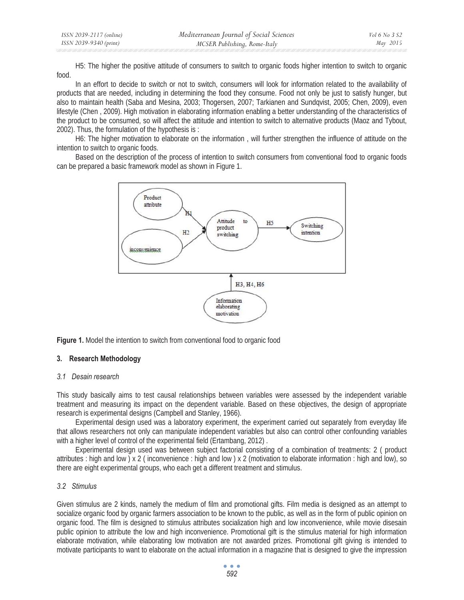| ISSN 2039-2117 (online) | Mediterranean Journal of Social Sciences | Vol 6 No 3 S2 |
|-------------------------|------------------------------------------|---------------|
| ISSN 2039-9340 (print)  | MCSER Publishing, Rome-Italy             | May 2015      |

H5: The higher the positive attitude of consumers to switch to organic foods higher intention to switch to organic food.

In an effort to decide to switch or not to switch, consumers will look for information related to the availability of products that are needed, including in determining the food they consume. Food not only be just to satisfy hunger, but also to maintain health (Saba and Mesina, 2003; Thogersen, 2007; Tarkianen and Sundqvist, 2005; Chen, 2009), even lifestyle (Chen , 2009). High motivation in elaborating information enabling a better understanding of the characteristics of the product to be consumed, so will affect the attitude and intention to switch to alternative products (Maoz and Tybout, 2002). Thus, the formulation of the hypothesis is :

H6: The higher motivation to elaborate on the information , will further strengthen the influence of attitude on the intention to switch to organic foods.

Based on the description of the process of intention to switch consumers from conventional food to organic foods can be prepared a basic framework model as shown in Figure 1.



**Figure 1.** Model the intention to switch from conventional food to organic food

#### **3. Research Methodology**

#### *3.1 Desain research*

This study basically aims to test causal relationships between variables were assessed by the independent variable treatment and measuring its impact on the dependent variable. Based on these objectives, the design of appropriate research is experimental designs (Campbell and Stanley, 1966).

Experimental design used was a laboratory experiment, the experiment carried out separately from everyday life that allows researchers not only can manipulate independent variables but also can control other confounding variables with a higher level of control of the experimental field (Ertambang, 2012) .

Experimental design used was between subject factorial consisting of a combination of treatments: 2 ( product attributes : high and low ) x 2 ( inconvenience : high and low ) x 2 (motivation to elaborate information : high and low), so there are eight experimental groups, who each get a different treatment and stimulus.

#### *3.2 Stimulus*

Given stimulus are 2 kinds, namely the medium of film and promotional gifts. Film media is designed as an attempt to socialize organic food by organic farmers association to be known to the public, as well as in the form of public opinion on organic food. The film is designed to stimulus attributes socialization high and low inconvenience, while movie disesain public opinion to attribute the low and high inconvenience. Promotional gift is the stimulus material for high information elaborate motivation, while elaborating low motivation are not awarded prizes. Promotional gift giving is intended to motivate participants to want to elaborate on the actual information in a magazine that is designed to give the impression

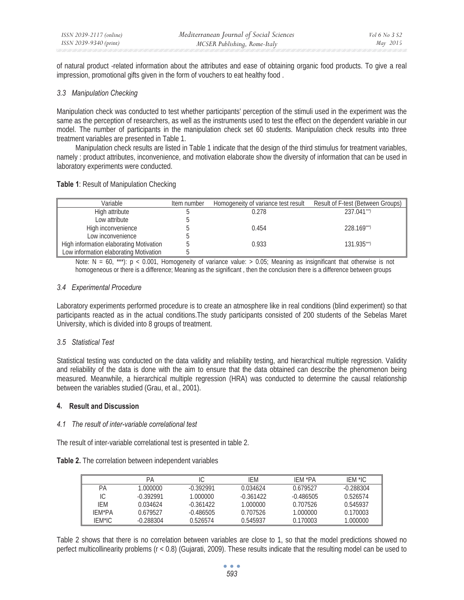of natural product -related information about the attributes and ease of obtaining organic food products. To give a real impression, promotional gifts given in the form of vouchers to eat healthy food .

## *3.3 Manipulation Checking*

Manipulation check was conducted to test whether participants' perception of the stimuli used in the experiment was the same as the perception of researchers, as well as the instruments used to test the effect on the dependent variable in our model. The number of participants in the manipulation check set 60 students. Manipulation check results into three treatment variables are presented in Table 1.

Manipulation check results are listed in Table 1 indicate that the design of the third stimulus for treatment variables, namely : product attributes, inconvenience, and motivation elaborate show the diversity of information that can be used in laboratory experiments were conducted.

|  |  |  |  | Table 1: Result of Manipulation Checking |
|--|--|--|--|------------------------------------------|
|--|--|--|--|------------------------------------------|

| Variable                                | Item number | Homogeneity of variance test result | Result of F-test (Between Groups) |
|-----------------------------------------|-------------|-------------------------------------|-----------------------------------|
| High attribute                          |             | 0.278                               | 237.041***)                       |
| Low attribute                           |             |                                     |                                   |
| High inconvenience                      |             | 0.454                               | 228.169'''                        |
| Low inconvenience                       |             |                                     |                                   |
| High information elaborating Motivation |             | 0.933                               | $131.935***$                      |
| Low information elaborating Motivation  |             |                                     |                                   |

Note:  $N = 60$ , \*\*\*):  $p < 0.001$ , Homogeneity of variance value:  $> 0.05$ ; Meaning as insignificant that otherwise is not homogeneous or there is a difference; Meaning as the significant , then the conclusion there is a difference between groups

## *3.4 Experimental Procedure*

Laboratory experiments performed procedure is to create an atmosphere like in real conditions (blind experiment) so that participants reacted as in the actual conditions.The study participants consisted of 200 students of the Sebelas Maret University, which is divided into 8 groups of treatment.

## *3.5 Statistical Test*

Statistical testing was conducted on the data validity and reliability testing, and hierarchical multiple regression. Validity and reliability of the data is done with the aim to ensure that the data obtained can describe the phenomenon being measured. Meanwhile, a hierarchical multiple regression (HRA) was conducted to determine the causal relationship between the variables studied (Grau, et al., 2001).

## **4. Result and Discussion**

## *4.1 The result of inter-variable correlational test*

The result of inter-variable correlational test is presented in table 2.

|            | РA          |             | <b>IFM</b>  | IFM *PA     | IFM *IC     |
|------------|-------------|-------------|-------------|-------------|-------------|
| РA         | 1.000000    | $-0.392991$ | 0.034624    | 0.679527    | $-0.288304$ |
|            | $-0.392991$ | 1.000000    | $-0.361422$ | $-0.486505$ | 0.526574    |
| <b>IFM</b> | 0.034624    | -0.361422   | 1.000000    | 0.707526    | 0.545937    |
| IFM*PA     | 0.679527    | $-0.486505$ | 0.707526    | 1.000000    | 0.170003    |
| IFM*IC     | $-0.288304$ | 0.526574    | 0.545937    | 0.170003    | 1.000000    |

Table 2 shows that there is no correlation between variables are close to 1, so that the model predictions showed no perfect multicollinearity problems (r < 0.8) (Gujarati, 2009). These results indicate that the resulting model can be used to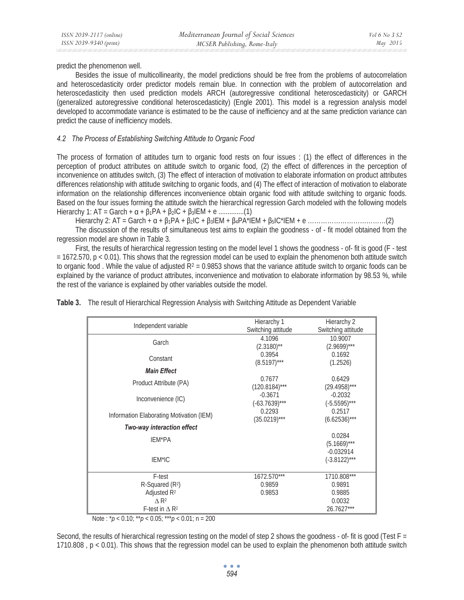predict the phenomenon well.

Besides the issue of multicollinearity, the model predictions should be free from the problems of autocorrelation and heteroscedasticity order predictor models remain blue. In connection with the problem of autocorrelation and heteroscedasticity then used prediction models ARCH (autoregressive conditional heteroscedasticity) or GARCH (generalized autoregressive conditional heteroscedasticity) (Engle 2001). This model is a regression analysis model developed to accommodate variance is estimated to be the cause of inefficiency and at the same prediction variance can predict the cause of inefficiency models.

## *4.2 The Process of Establishing Switching Attitude to Organic Food*

The process of formation of attitudes turn to organic food rests on four issues : (1) the effect of differences in the perception of product attributes on attitude switch to organic food, (2) the effect of differences in the perception of inconvenience on attitudes switch, (3) The effect of interaction of motivation to elaborate information on product attributes differences relationship with attitude switching to organic foods, and (4) The effect of interaction of motivation to elaborate information on the relationship differences inconvenience obtain organic food with attitude switching to organic foods. Based on the four issues forming the attitude switch the hierarchical regression Garch modeled with the following models Hierarchy 1: AT = Garch +  $\alpha$  +  $\beta_1$ PA +  $\beta_2$ IC +  $\beta_3$ IEM + e ...............(1)

 $Hierarchy 2: AT = Garch + α + β<sub>1</sub>PA + β<sub>2</sub>IC + β<sub>3</sub>IEM + β<sub>4</sub>PA<sup>*</sup>IEM + β<sub>5</sub>IC<sup>*</sup>IEM + e (1) (2)$ 

The discussion of the results of simultaneous test aims to explain the goodness - of - fit model obtained from the regression model are shown in Table 3.

First, the results of hierarchical regression testing on the model level 1 shows the goodness - of- fit is good (F - test  $= 1672.570$ ,  $p < 0.01$ ). This shows that the regression model can be used to explain the phenomenon both attitude switch to organic food. While the value of adjusted  $R^2 = 0.9853$  shows that the variance attitude switch to organic foods can be explained by the variance of product attributes, inconvenience and motivation to elaborate information by 98.53 %, while the rest of the variance is explained by other variables outside the model.

|                                                             | Hierarchy 1        | Hierarchy 2        |  |  |
|-------------------------------------------------------------|--------------------|--------------------|--|--|
| Independent variable                                        | Switching attitude | Switching attitude |  |  |
| Garch                                                       | 4.1096             | 10.9007            |  |  |
|                                                             | $(2.3180)$ **      | $(2.9699)***$      |  |  |
| Constant                                                    | 0.3954             | 0.1692             |  |  |
|                                                             | $(8.5197)$ ***     | (1.2526)           |  |  |
| <b>Main Effect</b>                                          |                    |                    |  |  |
| Product Attribute (PA)                                      | 0.7677             | 0.6429             |  |  |
|                                                             | $(120.8184)$ ***   | $(29.4958)$ ***    |  |  |
| Inconvenience (IC)                                          | $-0.3671$          | $-0.2032$          |  |  |
|                                                             | $(-63.7639)$ ***   | $(-5.5595)***$     |  |  |
| Information Elaborating Motivation (IEM)                    | 0.2293             | 0.2517             |  |  |
|                                                             | $(35.0219)$ ***    | $(6.62536)$ ***    |  |  |
| Two-way interaction effect                                  |                    |                    |  |  |
| IEM*PA                                                      |                    | 0.0284             |  |  |
|                                                             |                    | $(5.1669)***$      |  |  |
|                                                             |                    | $-0.032914$        |  |  |
| IEM*IC                                                      |                    | $(-3.8122)***$     |  |  |
| F-test                                                      | 1672.570***        | 1710.808***        |  |  |
|                                                             | 0.9859             | 0.9891             |  |  |
| R-Squared (R <sup>2</sup> )                                 | 0.9853             | 0.9885             |  |  |
| Adjusted R <sup>2</sup><br>$\Delta$ R <sup>2</sup>          |                    | 0.0032             |  |  |
| F-test in $\Delta$ R <sup>2</sup>                           |                    | 26.7627***         |  |  |
|                                                             |                    |                    |  |  |
| Note: $p < 0.10$ ; ** $p < 0.05$ ; *** $p < 0.01$ ; n = 200 |                    |                    |  |  |

**Table 3.** The result of Hierarchical Regression Analysis with Switching Attitude as Dependent Variable

Second, the results of hierarchical regression testing on the model of step 2 shows the goodness - of- fit is good (Test  $F =$ 1710.808 , p < 0.01). This shows that the regression model can be used to explain the phenomenon both attitude switch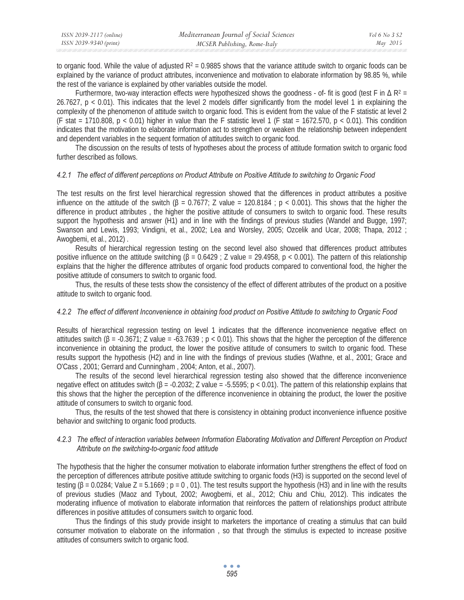| ISSN 2039-2117 (online) | Mediterranean Journal of Social Sciences | Vol 6 No 3 S2 |
|-------------------------|------------------------------------------|---------------|
| ISSN 2039-9340 (print)  | MCSER Publishing, Rome-Italy             | May 2015      |

to organic food. While the value of adjusted  $R^2 = 0.9885$  shows that the variance attitude switch to organic foods can be explained by the variance of product attributes, inconvenience and motivation to elaborate information by 98.85 %, while the rest of the variance is explained by other variables outside the model.

Furthermore, two-way interaction effects were hypothesized shows the goodness - of- fit is good (test F in  $\Delta$  R<sup>2</sup> = 26.7627,  $p < 0.01$ ). This indicates that the level 2 models differ significantly from the model level 1 in explaining the complexity of the phenomenon of attitude switch to organic food. This is evident from the value of the F statistic at level 2 (F stat = 1710.808,  $p < 0.01$ ) higher in value than the F statistic level 1 (F stat = 1672.570,  $p < 0.01$ ). This condition indicates that the motivation to elaborate information act to strengthen or weaken the relationship between independent and dependent variables in the sequent formation of attitudes switch to organic food.

The discussion on the results of tests of hypotheses about the process of attitude formation switch to organic food further described as follows.

#### *4.2.1 The effect of different perceptions on Product Attribute on Positive Attitude to switching to Organic Food*

The test results on the first level hierarchical regression showed that the differences in product attributes a positive influence on the attitude of the switch ( $\beta$  = 0.7677; Z value = 120.8184; p < 0.001). This shows that the higher the difference in product attributes , the higher the positive attitude of consumers to switch to organic food. These results support the hypothesis and answer (H1) and in line with the findings of previous studies (Wandel and Bugge, 1997; Swanson and Lewis, 1993; Vindigni, et al., 2002; Lea and Worsley, 2005; Ozcelik and Ucar, 2008; Thapa, 2012 ; Awogbemi, et al., 2012) .

Results of hierarchical regression testing on the second level also showed that differences product attributes positive influence on the attitude switching  $(\beta = 0.6429; Z \text{ value} = 29.4958, p < 0.001)$ . The pattern of this relationship explains that the higher the difference attributes of organic food products compared to conventional food, the higher the positive attitude of consumers to switch to organic food.

Thus, the results of these tests show the consistency of the effect of different attributes of the product on a positive attitude to switch to organic food.

## *4.2.2 The effect of different Inconvenience in obtaining food product on Positive Attitude to switching to Organic Food*

Results of hierarchical regression testing on level 1 indicates that the difference inconvenience negative effect on attitudes switch ( $\beta$  = -0.3671; Z value = -63.7639; p < 0.01). This shows that the higher the perception of the difference inconvenience in obtaining the product, the lower the positive attitude of consumers to switch to organic food. These results support the hypothesis (H2) and in line with the findings of previous studies (Wathne, et al., 2001; Grace and O'Cass , 2001; Gerrard and Cunningham , 2004; Anton, et al., 2007).

The results of the second level hierarchical regression testing also showed that the difference inconvenience negative effect on attitudes switch ( $\beta$  = -0.2032; Z value = -5.5595; p < 0.01). The pattern of this relationship explains that this shows that the higher the perception of the difference inconvenience in obtaining the product, the lower the positive attitude of consumers to switch to organic food.

Thus, the results of the test showed that there is consistency in obtaining product inconvenience influence positive behavior and switching to organic food products.

## *4.2.3 The effect of interaction variables between Information Elaborating Motivation and Different Perception on Product Attribute on the switching-to-organic food attitude*

The hypothesis that the higher the consumer motivation to elaborate information further strengthens the effect of food on the perception of differences attribute positive attitude switching to organic foods (H3) is supported on the second level of testing ( $\beta$  = 0.0284; Value Z = 5.1669;  $p = 0$ , 01). The test results support the hypothesis (H3) and in line with the results of previous studies (Maoz and Tybout, 2002; Awogbemi, et al., 2012; Chiu and Chiu, 2012). This indicates the moderating influence of motivation to elaborate information that reinforces the pattern of relationships product attribute differences in positive attitudes of consumers switch to organic food.

Thus the findings of this study provide insight to marketers the importance of creating a stimulus that can build consumer motivation to elaborate on the information , so that through the stimulus is expected to increase positive attitudes of consumers switch to organic food.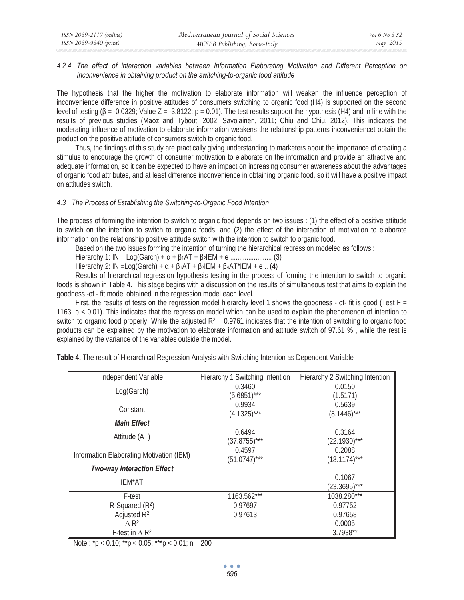## *4.2.4 The effect of interaction variables between Information Elaborating Motivation and Different Perception on Inconvenience in obtaining product on the switching-to-organic food attitude*

The hypothesis that the higher the motivation to elaborate information will weaken the influence perception of inconvenience difference in positive attitudes of consumers switching to organic food (H4) is supported on the second level of testing  $(\beta = -0.0329)$ ; Value Z =  $-3.8122$ ; p = 0.01). The test results support the hypothesis (H4) and in line with the results of previous studies (Maoz and Tybout, 2002; Savolainen, 2011; Chiu and Chiu, 2012). This indicates the moderating influence of motivation to elaborate information weakens the relationship patterns inconveniencet obtain the product on the positive attitude of consumers switch to organic food.

Thus, the findings of this study are practically giving understanding to marketers about the importance of creating a stimulus to encourage the growth of consumer motivation to elaborate on the information and provide an attractive and adequate information, so it can be expected to have an impact on increasing consumer awareness about the advantages of organic food attributes, and at least difference inconvenience in obtaining organic food, so it will have a positive impact on attitudes switch.

## *4.3 The Process of Establishing the Switching-to-Organic Food Intention*

The process of forming the intention to switch to organic food depends on two issues : (1) the effect of a positive attitude to switch on the intention to switch to organic foods; and (2) the effect of the interaction of motivation to elaborate information on the relationship positive attitude switch with the intention to switch to organic food.

Based on the two issues forming the intention of turning the hierarchical regression modeled as follows :

Hierarchy 1: IN = Log(Garch) + Į + ȕ1AT + ȕ2IEM + e ....................... (3)

Hierarchy 2: IN = Log(Garch) +  $\alpha$  +  $\beta_1$ AT +  $\beta_2$ IEM +  $\beta_4$ AT\*IEM + e .. (4)

Results of hierarchical regression hypothesis testing in the process of forming the intention to switch to organic foods is shown in Table 4. This stage begins with a discussion on the results of simultaneous test that aims to explain the goodness -of - fit model obtained in the regression model each level.

First, the results of tests on the regression model hierarchy level 1 shows the goodness - of- fit is good (Test  $F =$ 1163, p < 0.01). This indicates that the regression model which can be used to explain the phenomenon of intention to switch to organic food properly. While the adjusted  $R<sup>2</sup> = 0.9761$  indicates that the intention of switching to organic food products can be explained by the motivation to elaborate information and attitude switch of 97.61 % , while the rest is explained by the variance of the variables outside the model.

| Independent Variable                     | Hierarchy 1 Switching Intention | Hierarchy 2 Switching Intention |
|------------------------------------------|---------------------------------|---------------------------------|
| Log(Garch)                               | 0.3460                          | 0.0150                          |
|                                          | $(5.6851)***$                   | (1.5171)                        |
| Constant                                 | 0.9934                          | 0.5639                          |
|                                          | $(4.1325)***$                   | $(8.1446)$ ***                  |
| <b>Main Effect</b>                       |                                 |                                 |
| Attitude (AT)                            | 0.6494                          | 0.3164                          |
|                                          | $(37.8755)$ ***                 | $(22.1930)$ ***                 |
| Information Elaborating Motivation (IEM) | 0.4597                          | 0.2088                          |
|                                          | $(51.0747)$ ***                 | $(18.1174)***$                  |
| <b>Two-way Interaction Effect</b>        |                                 |                                 |
| IEM*AT                                   |                                 | 0.1067                          |
|                                          |                                 | $(23.3695)***$                  |
| F-test                                   | 1163.562***                     | 1038.280***                     |
| $R-Squared (R2)$                         | 0.97697                         | 0.97752                         |
| Adjusted $R^2$                           | 0.97613                         | 0.97658                         |
| $\Delta$ R <sup>2</sup>                  |                                 | 0.0005                          |
| F-test in $\Delta$ R <sup>2</sup>        |                                 | 3.7938**                        |

**Table 4.** The result of Hierarchical Regression Analysis with Switching Intention as Dependent Variable

Note :  $np < 0.10$ ;  $*$  $p < 0.05$ ;  $*$  $*$  $p < 0.01$ ; n = 200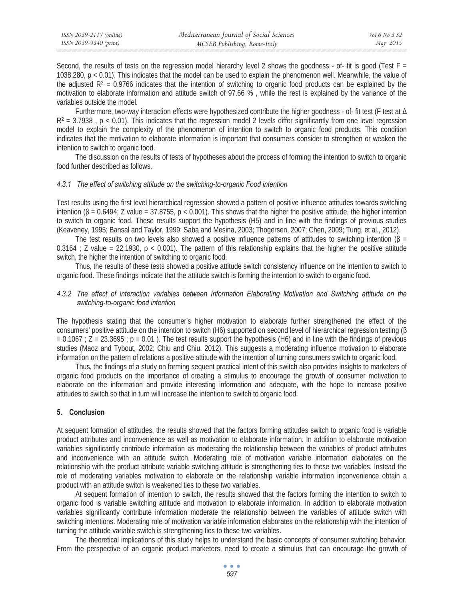Second, the results of tests on the regression model hierarchy level 2 shows the goodness - of- fit is good (Test F = 1038.280, p < 0.01). This indicates that the model can be used to explain the phenomenon well. Meanwhile, the value of the adjusted  $R<sup>2</sup> = 0.9766$  indicates that the intention of switching to organic food products can be explained by the motivation to elaborate information and attitude switch of 97.66 % , while the rest is explained by the variance of the variables outside the model.

Furthermore, two-way interaction effects were hypothesized contribute the higher goodness - of- fit test (F test at  $\Delta$ )  $R<sup>2</sup> = 3.7938$ , p < 0.01). This indicates that the regression model 2 levels differ significantly from one level regression model to explain the complexity of the phenomenon of intention to switch to organic food products. This condition indicates that the motivation to elaborate information is important that consumers consider to strengthen or weaken the intention to switch to organic food.

The discussion on the results of tests of hypotheses about the process of forming the intention to switch to organic food further described as follows.

## *4.3.1 The effect of switching attitude on the switching-to-organic Food intention*

Test results using the first level hierarchical regression showed a pattern of positive influence attitudes towards switching intention  $(6 = 0.6494; Z$  value = 37.8755, p < 0.001). This shows that the higher the positive attitude, the higher intention to switch to organic food. These results support the hypothesis (H5) and in line with the findings of previous studies (Keaveney, 1995; Bansal and Taylor, 1999; Saba and Mesina, 2003; Thogersen, 2007; Chen, 2009; Tung, et al., 2012).

The test results on two levels also showed a positive influence patterns of attitudes to switching intention ( $\beta$  = 0.3164 ; Z value = 22.1930,  $p < 0.001$ ). The pattern of this relationship explains that the higher the positive attitude switch, the higher the intention of switching to organic food.

Thus, the results of these tests showed a positive attitude switch consistency influence on the intention to switch to organic food. These findings indicate that the attitude switch is forming the intention to switch to organic food.

## *4.3.2 The effect of interaction variables between Information Elaborating Motivation and Switching attitude on the switching-to-organic food intention*

The hypothesis stating that the consumer's higher motivation to elaborate further strengthened the effect of the consumers' positive attitude on the intention to switch (H6) supported on second level of hierarchical regression testing ( $\beta$ )  $= 0.1067$ ;  $Z = 23.3695$ ;  $p = 0.01$ ). The test results support the hypothesis (H6) and in line with the findings of previous studies (Maoz and Tybout, 2002; Chiu and Chiu, 2012). This suggests a moderating influence motivation to elaborate information on the pattern of relations a positive attitude with the intention of turning consumers switch to organic food.

Thus, the findings of a study on forming sequent practical intent of this switch also provides insights to marketers of organic food products on the importance of creating a stimulus to encourage the growth of consumer motivation to elaborate on the information and provide interesting information and adequate, with the hope to increase positive attitudes to switch so that in turn will increase the intention to switch to organic food.

## **5. Conclusion**

At sequent formation of attitudes, the results showed that the factors forming attitudes switch to organic food is variable product attributes and inconvenience as well as motivation to elaborate information. In addition to elaborate motivation variables significantly contribute information as moderating the relationship between the variables of product attributes and inconvenience with an attitude switch. Moderating role of motivation variable information elaborates on the relationship with the product attribute variable switching attitude is strengthening ties to these two variables. Instead the role of moderating variables motivation to elaborate on the relationship variable information inconvenience obtain a product with an attitude switch is weakened ties to these two variables.

At sequent formation of intention to switch, the results showed that the factors forming the intention to switch to organic food is variable switching attitude and motivation to elaborate information. In addition to elaborate motivation variables significantly contribute information moderate the relationship between the variables of attitude switch with switching intentions. Moderating role of motivation variable information elaborates on the relationship with the intention of turning the attitude variable switch is strengthening ties to these two variables.

The theoretical implications of this study helps to understand the basic concepts of consumer switching behavior. From the perspective of an organic product marketers, need to create a stimulus that can encourage the growth of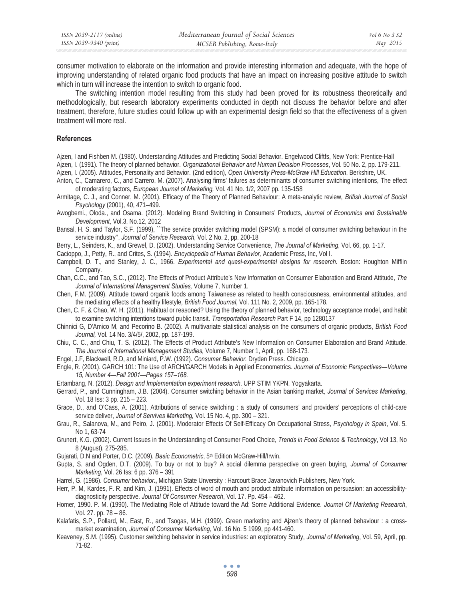consumer motivation to elaborate on the information and provide interesting information and adequate, with the hope of improving understanding of related organic food products that have an impact on increasing positive attitude to switch which in turn will increase the intention to switch to organic food.

The switching intention model resulting from this study had been proved for its robustness theoretically and methodologically, but research laboratory experiments conducted in depth not discuss the behavior before and after treatment, therefore, future studies could follow up with an experimental design field so that the effectiveness of a given treatment will more real.

#### **References**

Ajzen, I and Fishben M. (1980). Understanding Attitudes and Predicting Social Behavior. Engelwood Cliftfs, New York: Prentice-Hall

Ajzen, I. (1991). The theory of planned behavior*. Organizational Behavior and Human Decision Processes*, Vol. 50 No. 2, pp. 179-211.

Ajzen, I. (2005). Attitudes, Personality and Behavior. (2nd edition), *Open University Press-McGraw Hill Education*, Berkshire, UK.

Anton, C., Camarero, C., and Carrero, M. (2007). Analysing firms' failures as determinants of consumer switching intentions, The effect of moderating factors, *European Journal of Marketing,* Vol. 41 No. 1/2, 2007 pp. 135-158

Armitage, C. J., and Conner, M. (2001). Efficacy of the Theory of Planned Behaviour: A meta-analytic review, *British Journal of Social Psychology* (2001), 40, 471–499.

Awogbemi., Oloda., and Osama. (2012). Modeling Brand Switching in Consumers' Products, *Journal of Economics and Sustainable Development*, Vol.3, No.12, 2012

Bansal, H. S. and Taylor, S.F. (1999), ``The service provider switching model (SPSM): a model of consumer switching behaviour in the service industry'', *Journal of Service Research*, Vol. 2 No. 2, pp. 200-18

Berry, L., Seinders, K., and Grewel, D. (2002). Understanding Service Convenience, *The Journal of Marketing*, Vol. 66, pp. 1-17.

Cacioppo, J., Petty, R., and Crites, S. (1994). *Encyclopedia of Human Behavior,* Academic Press, Inc, Vol I.

Campbell, D. T., and Stanley, J. C., 1966. *Experimental and quasi-experimental designs for research*. Boston: Houghton Mifflin Company.

Chan, C.C., and Tao, S.C., (2012). The Effects of Product Attribute's New Information on Consumer Elaboration and Brand Attitude, *The Journal of International Management Studies,* Volume 7, Number 1.

Chen, F.M. (2009). Attitude toward organik foods among Taiwanese as related to health consciousness, environmental attitudes, and the mediating effects of a healthy lifestyle*, British Food Journal*, Vol. 111 No. 2, 2009, pp. 165-178.

Chen, C. F. & Chao, W. H. (2011). Habitual or reasoned? Using the theory of planned behavior, technology acceptance model, and habit to examine switching intentions toward public transit. *Transportation Research* Part F 14, pp 1280137

Chinnici G, D'Amico M, and Pecorino B. (2002). A multivariate statistical analysis on the consumers of organic products, *British Food Journal,* Vol. 14 No. 3/4/5/, 2002, pp. 187-199.

Chiu, C. C., and Chiu, T. S. (2012). The Effects of Product Attribute's New Information on Consumer Elaboration and Brand Attitude. *The Journal of International Management Studies,* Volume 7, Number 1, April, pp. 168-173*.* 

Engel, J.F, Blackwell, R.D, and Miniard, P.W. (1992). *Consumer Behavior.* Dryden Press. Chicago.

Engle, R. (2001). GARCH 101: The Use of ARCH/GARCH Models in Applied Econometrics. *Journal of Economic Perspectives—Volume 15, Number 4—Fall 2001—Pages 157–168.*

Ertambang, N. (2012). *Design and Implementation experiment research*. UPP STIM YKPN. Yogyakarta.

Gerrard, P., and Cunningham, J.B. (2004). Consumer switching behavior in the Asian banking market, *Journal of Services Marketing*, Vol. 18 Iss: 3 pp. 215 – 223.

Grace, D., and O'Cass, A. (2001). Attributions of service switching : a study of consumers' and providers' perceptions of child-care service deliver, *Journal of Servives Marketing,* Vol. 15 No. 4, pp. 300 – 321.

Grau, R., Salanova, M., and Peiro, J. (2001). Moderator Effects Of Self-Efficacy On Occupational Stress, *Psychology in Spain*, Vol. 5. No 1, 63-74

Grunert, K.G. (2002). Current Issues in the Understanding of Consumer Food Choice, *Trends in Food Science & Technology*, Vol 13, No 8 (August), 275-285.

Gujarati, D.N and Porter, D.C. (2009). *Basic Econometric*, 5<sup>th</sup> Edition McGraw-Hill/Irwin.

Gupta, S. and Ogden, D.T. (2009). To buy or not to buy? A social dilemma perspective on green buying, *Journal of Consumer Marketing*, Vol. 26 Iss: 6 pp. 376 – 391

Harrel, G. (1986). *Consumer behavior***.,** Michigan State Unversity : Harcourt Brace Javanovich Publishers, New York.

Herr, P. M, Kardes, F. R, and Kim, J. (1991). Effects of word of mouth and product attribute information on persuasion: an accessibilitydiagnosticity perspective. *Journal Of Consumer Research*, Vol. 17. Pp. 454 – 462.

Homer, 1990. P. M. (1990). The Mediating Role of Attitude toward the Ad: Some Additional Evidence. *Journal Of Marketing Research*, Vol. 27. pp. 78 – 86.

Kalafatis, S.P., Pollard, M., East, R., and Tsogas, M.H. (1999). Green marketing and Ajzen's theory of planned behaviour : a crossmarket examination, *Journal of Consumer Marketing*, Vol. 16 No. 5 1999, pp 441-460.

Keaveney, S.M. (1995). Customer switching behavior in service industries: an exploratory Study, *Journal of Marketing*, Vol. 59, April, pp. 71-82.